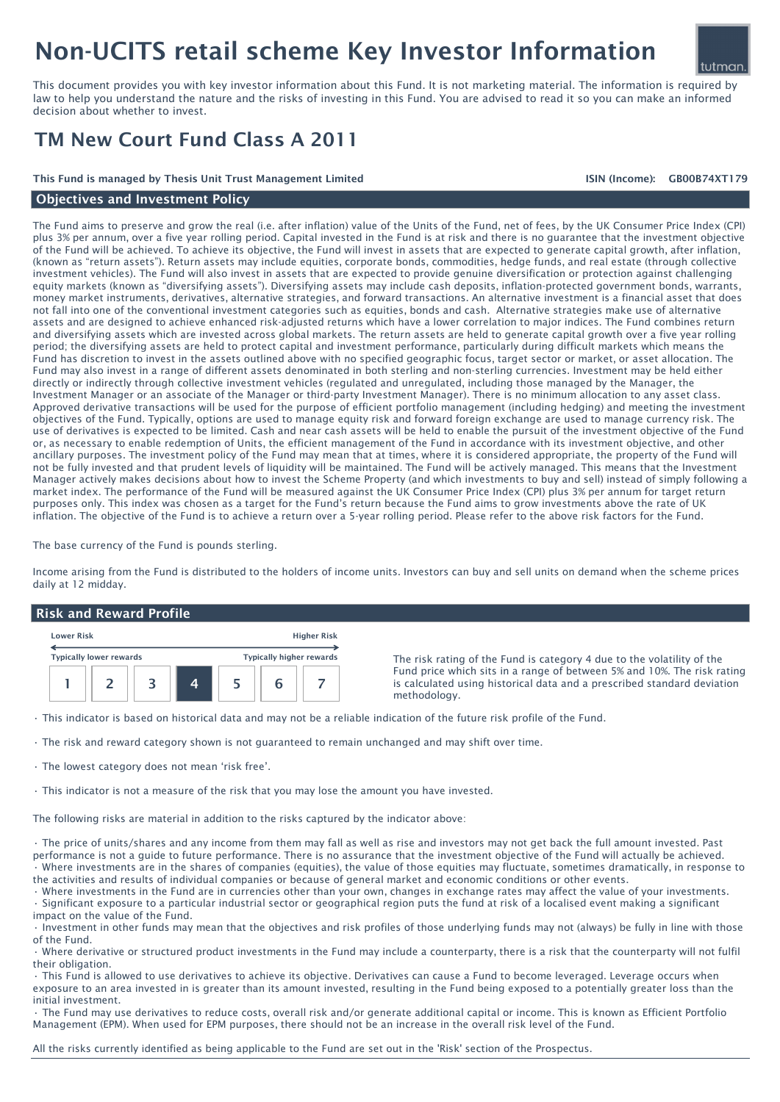# Non-UCITS retail scheme Key Investor Information

This document provides you with key investor information about this Fund. It is not marketing material. The information is required by law to help you understand the nature and the risks of investing in this Fund. You are advised to read it so you can make an informed decision about whether to invest.

## TM New Court Fund Class A 2011

#### This Fund is managed by Thesis Unit Trust Management Limited

ISIN (Income): GB00B74XT179

#### Objectives and Investment Policy

The Fund aims to preserve and grow the real (i.e. after inflation) value of the Units of the Fund, net of fees, by the UK Consumer Price Index (CPI) plus 3% per annum, over a five year rolling period. Capital invested in the Fund is at risk and there is no guarantee that the investment objective of the Fund will be achieved. To achieve its objective, the Fund will invest in assets that are expected to generate capital growth, after inflation, (known as "return assets"). Return assets may include equities, corporate bonds, commodities, hedge funds, and real estate (through collective investment vehicles). The Fund will also invest in assets that are expected to provide genuine diversification or protection against challenging equity markets (known as "diversifying assets"). Diversifying assets may include cash deposits, inflation-protected government bonds, warrants, money market instruments, derivatives, alternative strategies, and forward transactions. An alternative investment is a financial asset that does not fall into one of the conventional investment categories such as equities, bonds and cash. Alternative strategies make use of alternative assets and are designed to achieve enhanced risk-adjusted returns which have a lower correlation to major indices. The Fund combines return and diversifying assets which are invested across global markets. The return assets are held to generate capital growth over a five year rolling period; the diversifying assets are held to protect capital and investment performance, particularly during difficult markets which means the Fund has discretion to invest in the assets outlined above with no specified geographic focus, target sector or market, or asset allocation. The Fund may also invest in a range of different assets denominated in both sterling and non-sterling currencies. Investment may be held either directly or indirectly through collective investment vehicles (regulated and unregulated, including those managed by the Manager, the Investment Manager or an associate of the Manager or third-party Investment Manager). There is no minimum allocation to any asset class. Approved derivative transactions will be used for the purpose of efficient portfolio management (including hedging) and meeting the investment objectives of the Fund. Typically, options are used to manage equity risk and forward foreign exchange are used to manage currency risk. The use of derivatives is expected to be limited. Cash and near cash assets will be held to enable the pursuit of the investment objective of the Fund or, as necessary to enable redemption of Units, the efficient management of the Fund in accordance with its investment objective, and other ancillary purposes. The investment policy of the Fund may mean that at times, where it is considered appropriate, the property of the Fund will not be fully invested and that prudent levels of liquidity will be maintained. The Fund will be actively managed. This means that the Investment Manager actively makes decisions about how to invest the Scheme Property (and which investments to buy and sell) instead of simply following a market index. The performance of the Fund will be measured against the UK Consumer Price Index (CPI) plus 3% per annum for target return purposes only. This index was chosen as a target for the Fund's return because the Fund aims to grow investments above the rate of UK inflation. The objective of the Fund is to achieve a return over a 5-year rolling period. Please refer to the above risk factors for the Fund.

The base currency of the Fund is pounds sterling.

Income arising from the Fund is distributed to the holders of income units. Investors can buy and sell units on demand when the scheme prices daily at 12 midday.

### Risk and Reward Profile

| <b>Lower Risk</b>              |  |  | <b>Higher Risk</b> |                          |  |  |
|--------------------------------|--|--|--------------------|--------------------------|--|--|
| <b>Typically lower rewards</b> |  |  |                    | Typically higher rewards |  |  |
|                                |  |  |                    |                          |  |  |

The risk rating of the Fund is category 4 due to the volatility of the Fund price which sits in a range of between 5% and 10%. The risk rating is calculated using historical data and a prescribed standard deviation methodology.

• This indicator is based on historical data and may not be a reliable indication of the future risk profile of the Fund.

• The risk and reward category shown is not guaranteed to remain unchanged and may shift over time.

• The lowest category does not mean 'risk free'.

• This indicator is not a measure of the risk that you may lose the amount you have invested.

The following risks are material in addition to the risks captured by the indicator above:

• The price of units/shares and any income from them may fall as well as rise and investors may not get back the full amount invested. Past performance is not a guide to future performance. There is no assurance that the investment objective of the Fund will actually be achieved. • Where investments are in the shares of companies (equities), the value of those equities may fluctuate, sometimes dramatically, in response to the activities and results of individual companies or because of general market and economic conditions or other events.

• Where investments in the Fund are in currencies other than your own, changes in exchange rates may affect the value of your investments. • Significant exposure to a particular industrial sector or geographical region puts the fund at risk of a localised event making a significant impact on the value of the Fund.

• Investment in other funds may mean that the objectives and risk profiles of those underlying funds may not (always) be fully in line with those of the Fund.

• Where derivative or structured product investments in the Fund may include a counterparty, there is a risk that the counterparty will not fulfil their obligation.

• This Fund is allowed to use derivatives to achieve its objective. Derivatives can cause a Fund to become leveraged. Leverage occurs when exposure to an area invested in is greater than its amount invested, resulting in the Fund being exposed to a potentially greater loss than the initial investment.

• The Fund may use derivatives to reduce costs, overall risk and/or generate additional capital or income. This is known as Efficient Portfolio Management (EPM). When used for EPM purposes, there should not be an increase in the overall risk level of the Fund.

All the risks currently identified as being applicable to the Fund are set out in the 'Risk' section of the Prospectus.